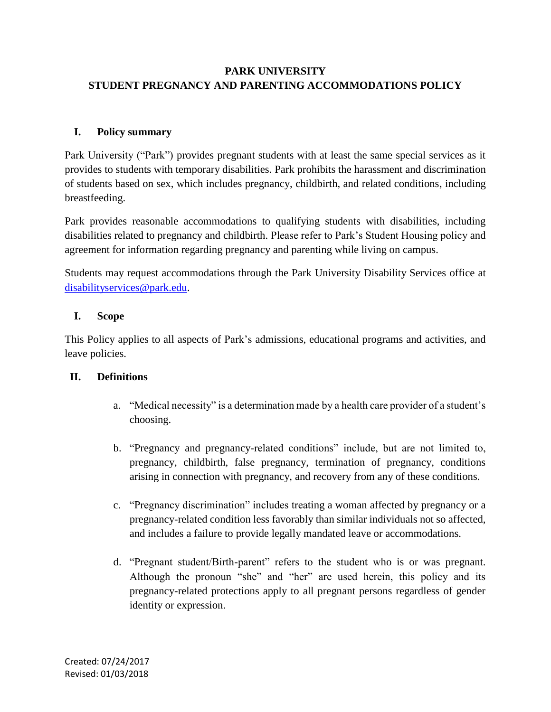# **PARK UNIVERSITY STUDENT PREGNANCY AND PARENTING ACCOMMODATIONS POLICY**

# **I. Policy summary**

Park University ("Park") provides pregnant students with at least the same special services as it provides to students with temporary disabilities. Park prohibits the harassment and discrimination of students based on sex, which includes pregnancy, childbirth, and related conditions, including breastfeeding.

Park provides reasonable accommodations to qualifying students with disabilities, including disabilities related to pregnancy and childbirth. Please refer to Park's Student Housing policy and agreement for information regarding pregnancy and parenting while living on campus.

Students may request accommodations through the Park University Disability Services office at [disabilityservices@park.edu.](mailto:disabilityservices@park.edu)

## **I. Scope**

This Policy applies to all aspects of Park's admissions, educational programs and activities, and leave policies.

#### **II. Definitions**

- a. "Medical necessity" is a determination made by a health care provider of a student's choosing.
- b. "Pregnancy and pregnancy-related conditions" include, but are not limited to, pregnancy, childbirth, false pregnancy, termination of pregnancy, conditions arising in connection with pregnancy, and recovery from any of these conditions.
- c. "Pregnancy discrimination" includes treating a woman affected by pregnancy or a pregnancy-related condition less favorably than similar individuals not so affected, and includes a failure to provide legally mandated leave or accommodations.
- d. "Pregnant student/Birth-parent" refers to the student who is or was pregnant. Although the pronoun "she" and "her" are used herein, this policy and its pregnancy-related protections apply to all pregnant persons regardless of gender identity or expression.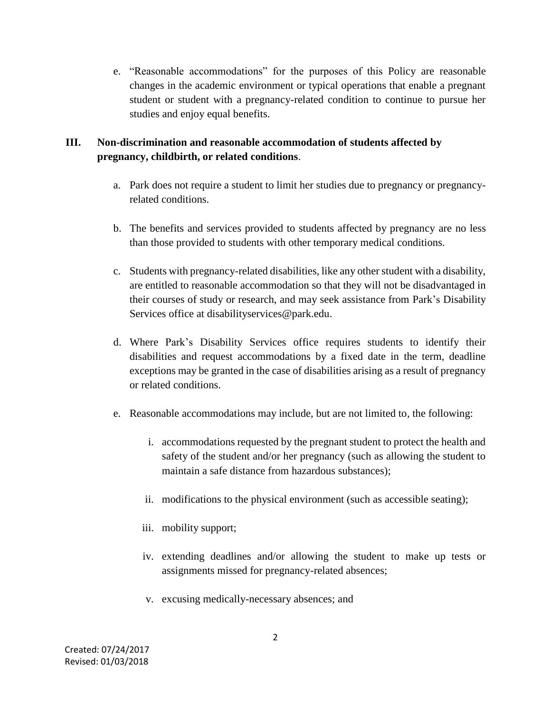e. "Reasonable accommodations" for the purposes of this Policy are reasonable changes in the academic environment or typical operations that enable a pregnant student or student with a pregnancy-related condition to continue to pursue her studies and enjoy equal benefits.

# **III. Non-discrimination and reasonable accommodation of students affected by pregnancy, childbirth, or related conditions**.

- a. Park does not require a student to limit her studies due to pregnancy or pregnancyrelated conditions.
- b. The benefits and services provided to students affected by pregnancy are no less than those provided to students with other temporary medical conditions.
- c. Students with pregnancy-related disabilities, like any other student with a disability, are entitled to reasonable accommodation so that they will not be disadvantaged in their courses of study or research, and may seek assistance from Park's Disability Services office at disabilityservices@park.edu.
- d. Where Park's Disability Services office requires students to identify their disabilities and request accommodations by a fixed date in the term, deadline exceptions may be granted in the case of disabilities arising as a result of pregnancy or related conditions.
- e. Reasonable accommodations may include, but are not limited to, the following:
	- i. accommodations requested by the pregnant student to protect the health and safety of the student and/or her pregnancy (such as allowing the student to maintain a safe distance from hazardous substances);
	- ii. modifications to the physical environment (such as accessible seating);
	- iii. mobility support;
	- iv. extending deadlines and/or allowing the student to make up tests or assignments missed for pregnancy-related absences;
	- v. excusing medically-necessary absences; and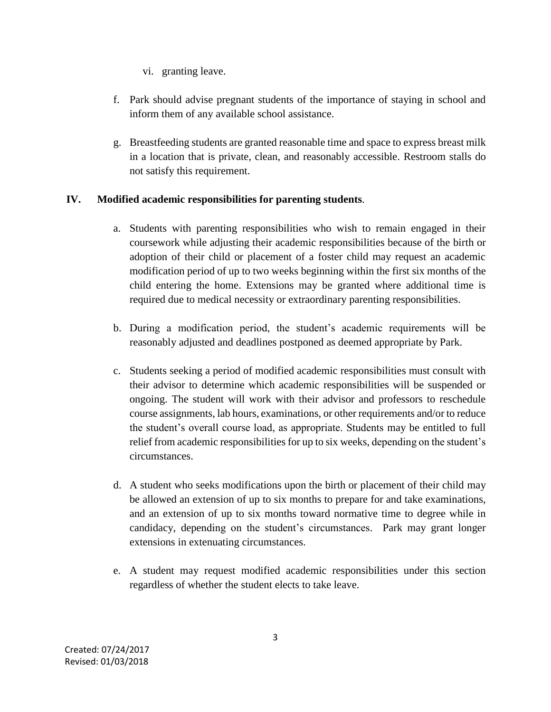- vi. granting leave.
- f. Park should advise pregnant students of the importance of staying in school and inform them of any available school assistance.
- g. Breastfeeding students are granted reasonable time and space to express breast milk in a location that is private, clean, and reasonably accessible. Restroom stalls do not satisfy this requirement.

## **IV. Modified academic responsibilities for parenting students**.

- a. Students with parenting responsibilities who wish to remain engaged in their coursework while adjusting their academic responsibilities because of the birth or adoption of their child or placement of a foster child may request an academic modification period of up to two weeks beginning within the first six months of the child entering the home. Extensions may be granted where additional time is required due to medical necessity or extraordinary parenting responsibilities.
- b. During a modification period, the student's academic requirements will be reasonably adjusted and deadlines postponed as deemed appropriate by Park.
- c. Students seeking a period of modified academic responsibilities must consult with their advisor to determine which academic responsibilities will be suspended or ongoing. The student will work with their advisor and professors to reschedule course assignments, lab hours, examinations, or other requirements and/or to reduce the student's overall course load, as appropriate. Students may be entitled to full relief from academic responsibilities for up to six weeks, depending on the student's circumstances.
- d. A student who seeks modifications upon the birth or placement of their child may be allowed an extension of up to six months to prepare for and take examinations, and an extension of up to six months toward normative time to degree while in candidacy, depending on the student's circumstances. Park may grant longer extensions in extenuating circumstances.
- e. A student may request modified academic responsibilities under this section regardless of whether the student elects to take leave.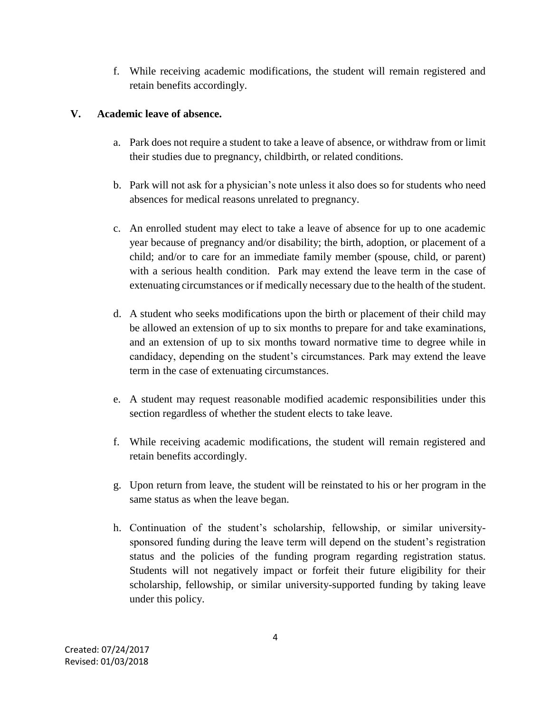f. While receiving academic modifications, the student will remain registered and retain benefits accordingly.

### **V. Academic leave of absence.**

- a. Park does not require a student to take a leave of absence, or withdraw from or limit their studies due to pregnancy, childbirth, or related conditions.
- b. Park will not ask for a physician's note unless it also does so for students who need absences for medical reasons unrelated to pregnancy.
- c. An enrolled student may elect to take a leave of absence for up to one academic year because of pregnancy and/or disability; the birth, adoption, or placement of a child; and/or to care for an immediate family member (spouse, child, or parent) with a serious health condition. Park may extend the leave term in the case of extenuating circumstances or if medically necessary due to the health of the student.
- d. A student who seeks modifications upon the birth or placement of their child may be allowed an extension of up to six months to prepare for and take examinations, and an extension of up to six months toward normative time to degree while in candidacy, depending on the student's circumstances. Park may extend the leave term in the case of extenuating circumstances.
- e. A student may request reasonable modified academic responsibilities under this section regardless of whether the student elects to take leave.
- f. While receiving academic modifications, the student will remain registered and retain benefits accordingly.
- g. Upon return from leave, the student will be reinstated to his or her program in the same status as when the leave began.
- h. Continuation of the student's scholarship, fellowship, or similar universitysponsored funding during the leave term will depend on the student's registration status and the policies of the funding program regarding registration status. Students will not negatively impact or forfeit their future eligibility for their scholarship, fellowship, or similar university-supported funding by taking leave under this policy.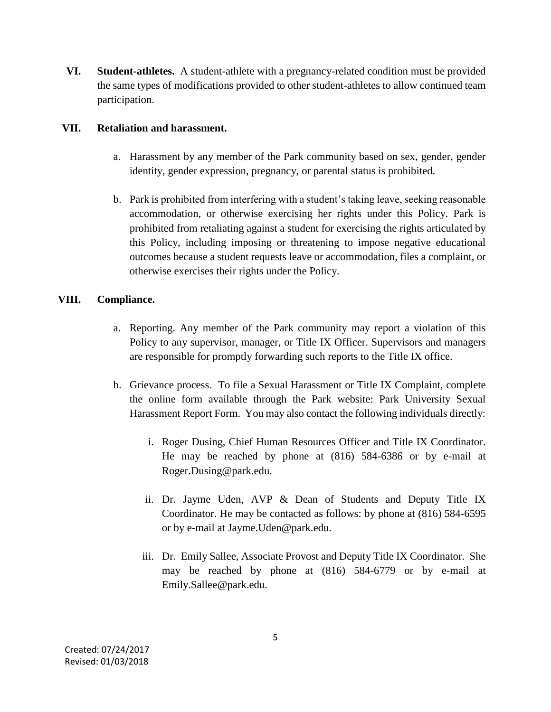**VI. Student-athletes.** A student-athlete with a pregnancy-related condition must be provided the same types of modifications provided to other student-athletes to allow continued team participation.

#### **VII. Retaliation and harassment.**

- a. Harassment by any member of the Park community based on sex, gender, gender identity, gender expression, pregnancy, or parental status is prohibited.
- b. Park is prohibited from interfering with a student's taking leave, seeking reasonable accommodation, or otherwise exercising her rights under this Policy. Park is prohibited from retaliating against a student for exercising the rights articulated by this Policy, including imposing or threatening to impose negative educational outcomes because a student requests leave or accommodation, files a complaint, or otherwise exercises their rights under the Policy.

#### **VIII. Compliance.**

- a. Reporting. Any member of the Park community may report a violation of this Policy to any supervisor, manager, or Title IX Officer. Supervisors and managers are responsible for promptly forwarding such reports to the Title IX office.
- b. Grievance process. To file a Sexual Harassment or Title IX Complaint, complete the online form available through the Park website: Park University Sexual Harassment Report Form. You may also contact the following individuals directly:
	- i. Roger Dusing, Chief Human Resources Officer and Title IX Coordinator. He may be reached by phone at (816) 584-6386 or by e-mail at Roger.Dusing@park.edu.
	- ii. Dr. Jayme Uden, AVP & Dean of Students and Deputy Title IX Coordinator. He may be contacted as follows: by phone at (816) 584-6595 or by e-mail at Jayme.Uden@park.edu.
	- iii. Dr. Emily Sallee, Associate Provost and Deputy Title IX Coordinator. She may be reached by phone at (816) 584-6779 or by e-mail at Emily.Sallee@park.edu.